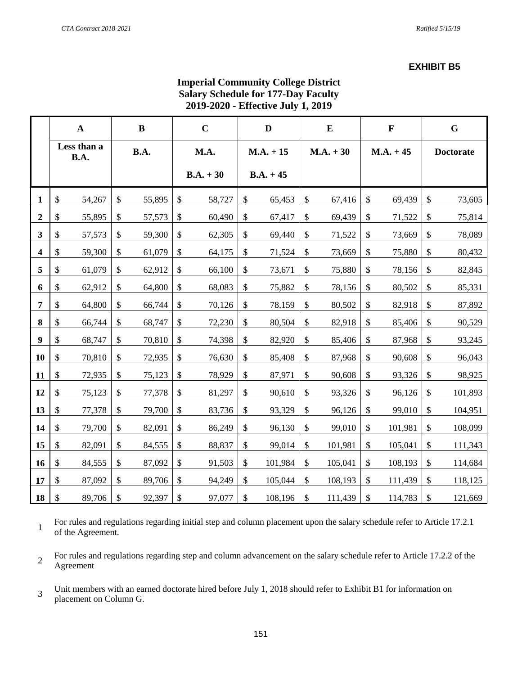### **EXHIBIT B5**

| <b>Imperial Community College District</b> |
|--------------------------------------------|
| <b>Salary Schedule for 177-Day Faculty</b> |
| 2019-2020 - Effective July 1, 2019         |

|                         | $\mathbf A$         |        | $\bf{B}$      |        | $\mathbf C$ |        | D           |         | $\bf{E}$      |         |               | $\mathbf F$ | $\mathbf G$      |         |  |             |  |             |  |  |  |  |  |  |
|-------------------------|---------------------|--------|---------------|--------|-------------|--------|-------------|---------|---------------|---------|---------------|-------------|------------------|---------|--|-------------|--|-------------|--|--|--|--|--|--|
|                         | Less than a<br>B.A. |        | B.A.          |        | M.A.        |        | $M.A. + 15$ |         | $M.A. + 30$   |         | $M.A. + 45$   |             | <b>Doctorate</b> |         |  |             |  |             |  |  |  |  |  |  |
|                         |                     |        |               |        |             |        |             |         |               |         |               |             |                  |         |  | $B.A. + 30$ |  | $B.A. + 45$ |  |  |  |  |  |  |
| 1                       | \$                  | 54,267 | \$            | 55,895 | \$          | 58,727 | \$          | 65,453  | $\mathcal{S}$ | 67,416  | $\mathcal{S}$ | 69,439      | \$               | 73,605  |  |             |  |             |  |  |  |  |  |  |
| $\overline{2}$          | $\mathcal{S}$       | 55,895 | \$            | 57,573 | \$          | 60,490 | \$          | 67,417  | \$            | 69,439  | \$            | 71,522      | \$               | 75,814  |  |             |  |             |  |  |  |  |  |  |
| 3                       | \$                  | 57,573 | \$            | 59,300 | \$          | 62,305 | \$          | 69,440  | \$            | 71,522  | \$            | 73,669      | \$               | 78,089  |  |             |  |             |  |  |  |  |  |  |
| $\overline{\mathbf{4}}$ | \$                  | 59,300 | \$            | 61,079 | \$          | 64,175 | \$          | 71,524  | \$            | 73,669  | \$            | 75,880      | \$               | 80,432  |  |             |  |             |  |  |  |  |  |  |
| 5                       | \$                  | 61,079 | $\mathcal{S}$ | 62,912 | \$          | 66,100 | \$          | 73,671  | \$            | 75,880  | \$            | 78,156      | \$               | 82,845  |  |             |  |             |  |  |  |  |  |  |
| 6                       | \$                  | 62,912 | $\mathcal{S}$ | 64,800 | \$          | 68,083 | \$          | 75,882  | \$            | 78,156  | \$            | 80,502      | \$               | 85,331  |  |             |  |             |  |  |  |  |  |  |
| 7                       | \$                  | 64,800 | \$            | 66,744 | \$          | 70,126 | \$          | 78,159  | \$            | 80,502  | \$            | 82,918      | \$               | 87,892  |  |             |  |             |  |  |  |  |  |  |
| 8                       | \$                  | 66,744 | \$            | 68,747 | \$          | 72,230 | \$          | 80,504  | \$            | 82,918  | \$            | 85,406      | \$               | 90,529  |  |             |  |             |  |  |  |  |  |  |
| 9                       | \$                  | 68,747 | $\mathcal{S}$ | 70,810 | \$          | 74,398 | \$          | 82,920  | \$            | 85,406  | \$            | 87,968      | \$               | 93,245  |  |             |  |             |  |  |  |  |  |  |
| 10                      | $\mathcal{S}$       | 70,810 | $\mathcal{S}$ | 72,935 | \$          | 76,630 | \$          | 85,408  | \$            | 87,968  | \$            | 90,608      | \$               | 96,043  |  |             |  |             |  |  |  |  |  |  |
| 11                      | \$                  | 72,935 | \$            | 75,123 | \$          | 78,929 | \$          | 87,971  | $\mathcal{S}$ | 90,608  | \$            | 93,326      | \$               | 98,925  |  |             |  |             |  |  |  |  |  |  |
| 12                      | \$                  | 75,123 | \$            | 77,378 | \$          | 81,297 | \$          | 90,610  | \$            | 93,326  | \$            | 96,126      | \$               | 101,893 |  |             |  |             |  |  |  |  |  |  |
| 13                      | \$                  | 77,378 | $\mathcal{S}$ | 79,700 | \$          | 83,736 | \$          | 93,329  | \$            | 96,126  | \$            | 99,010      | \$               | 104,951 |  |             |  |             |  |  |  |  |  |  |
| 14                      | \$                  | 79,700 | \$            | 82,091 | \$          | 86,249 | \$          | 96,130  | \$            | 99,010  | \$            | 101,981     | \$               | 108,099 |  |             |  |             |  |  |  |  |  |  |
| 15                      | \$                  | 82,091 | \$            | 84,555 | \$          | 88,837 | \$          | 99,014  | \$            | 101,981 | \$            | 105,041     | \$               | 111,343 |  |             |  |             |  |  |  |  |  |  |
| 16                      | \$                  | 84,555 | \$            | 87,092 | \$          | 91,503 | \$          | 101,984 | \$            | 105,041 | \$            | 108,193     | \$               | 114,684 |  |             |  |             |  |  |  |  |  |  |
| 17                      | \$                  | 87,092 | $\mathcal{S}$ | 89,706 | \$          | 94,249 | \$          | 105,044 | \$            | 108,193 | \$            | 111,439     | \$               | 118,125 |  |             |  |             |  |  |  |  |  |  |
| 18                      | \$                  | 89,706 | $\mathcal{S}$ | 92,397 | \$          | 97,077 | \$          | 108,196 | \$            | 111,439 | \$            | 114,783     | \$               | 121,669 |  |             |  |             |  |  |  |  |  |  |

1 For rules and regulations regarding initial step and column placement upon the salary schedule refer to Article 17.2.1 of the Agreement.

2 For rules and regulations regarding step and column advancement on the salary schedule refer to Article 17.2.2 of the Agreement

3 Unit members with an earned doctorate hired before July 1, 2018 should refer to Exhibit B1 for information on placement on Column G.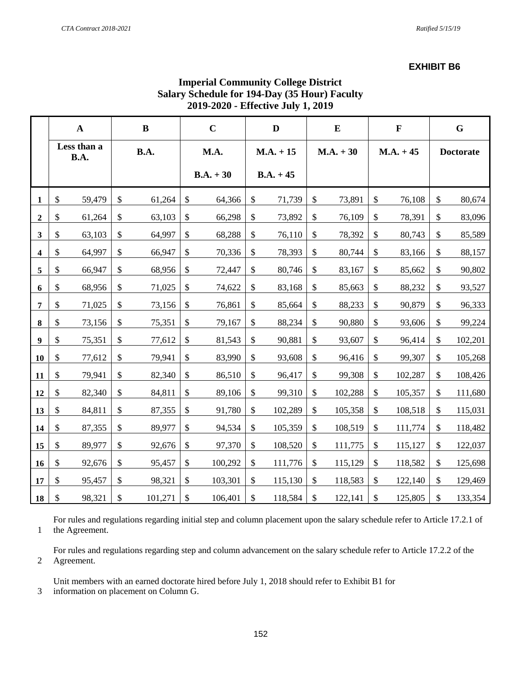#### **EXHIBIT B6**

|                  | 4017-4040 - EMCCHVC 9UIV 1, 4017 |        |                           |         |                           |             |                           |             |                           |         |              |         |                  |         |
|------------------|----------------------------------|--------|---------------------------|---------|---------------------------|-------------|---------------------------|-------------|---------------------------|---------|--------------|---------|------------------|---------|
|                  | ${\bf A}$                        |        | $\bf{B}$                  |         | $\mathbf C$               |             | $\mathbf{D}$              |             | ${\bf E}$                 |         | $\mathbf{F}$ |         | $\mathbf G$      |         |
|                  | Less than a<br>B.A.              |        | B.A.                      |         | M.A.                      |             | $M.A. + 15$               |             | $M.A. + 30$               |         | $M.A. + 45$  |         | <b>Doctorate</b> |         |
|                  |                                  |        |                           |         |                           | $B.A. + 30$ |                           | $B.A. + 45$ |                           |         |              |         |                  |         |
| 1                | \$                               | 59,479 | $\mathbb{S}$              | 61,264  | \$                        | 64,366      | \$                        | 71,739      | \$                        | 73,891  | \$           | 76,108  | $\mathbb{S}$     | 80,674  |
| $\boldsymbol{2}$ | \$                               | 61,264 | \$                        | 63,103  | $\boldsymbol{\mathsf{S}}$ | 66,298      | \$                        | 73,892      | $\mathbb{S}$              | 76,109  | \$           | 78,391  | \$               | 83,096  |
| $\mathbf{3}$     | \$                               | 63,103 | \$                        | 64,997  | \$                        | 68,288      | $\boldsymbol{\mathsf{S}}$ | 76,110      | $\$$                      | 78,392  | \$           | 80,743  | $\$$             | 85,589  |
| 4                | \$                               | 64,997 | $\boldsymbol{\mathsf{S}}$ | 66,947  | \$                        | 70,336      | \$                        | 78,393      | \$                        | 80,744  | \$           | 83,166  | \$               | 88,157  |
| 5                | \$                               | 66,947 | $\mathbb{S}$              | 68,956  | \$                        | 72,447      | \$                        | 80,746      | \$                        | 83,167  | $\$$         | 85,662  | \$               | 90,802  |
| 6                | \$                               | 68,956 | \$                        | 71,025  | \$                        | 74,622      | $\$$                      | 83,168      | $\mathbb{S}$              | 85,663  | \$           | 88,232  | $\$$             | 93,527  |
| 7                | \$                               | 71,025 | $\boldsymbol{\mathsf{S}}$ | 73,156  | \$                        | 76,861      | \$                        | 85,664      | \$                        | 88,233  | \$           | 90,879  | \$               | 96,333  |
| $\bf{8}$         | \$                               | 73,156 | \$                        | 75,351  | \$                        | 79,167      | \$                        | 88,234      | $\$\,$                    | 90,880  | $\$$         | 93,606  | \$               | 99,224  |
| $\boldsymbol{9}$ | \$                               | 75,351 | \$                        | 77,612  | $\$\,$                    | 81,543      | $\boldsymbol{\$}$         | 90,881      | $\mathbb{S}$              | 93,607  | $\mathbb{S}$ | 96,414  | \$               | 102,201 |
| 10               | \$                               | 77,612 | \$                        | 79,941  | \$                        | 83,990      | $\$$                      | 93,608      | \$                        | 96,416  | $\$$         | 99,307  | \$               | 105,268 |
| 11               | \$                               | 79,941 | \$                        | 82,340  | \$                        | 86,510      | \$                        | 96,417      | \$                        | 99,308  | $\$$         | 102,287 | \$               | 108,426 |
| 12               | \$                               | 82,340 | $\boldsymbol{\mathsf{S}}$ | 84,811  | \$                        | 89,106      | $\$$                      | 99,310      | $\$$                      | 102,288 | $\mathbb{S}$ | 105,357 | \$               | 111,680 |
| 13               | \$                               | 84,811 | \$                        | 87,355  | \$                        | 91,780      | $\$$                      | 102,289     | $\mathbb{S}$              | 105,358 | $\$$         | 108,518 | \$               | 115,031 |
| 14               | \$                               | 87,355 | \$                        | 89,977  | \$                        | 94,534      | \$                        | 105,359     | $\boldsymbol{\mathsf{S}}$ | 108,519 | $\$$         | 111,774 | \$               | 118,482 |
| 15               | \$                               | 89,977 | \$                        | 92,676  | \$                        | 97,370      | $\$\,$                    | 108,520     | $\$\,$                    | 111,775 | $\$$         | 115,127 | \$               | 122,037 |
| 16               | \$                               | 92,676 | \$                        | 95,457  | \$                        | 100,292     | \$                        | 111,776     | \$                        | 115,129 | \$           | 118,582 | \$               | 125,698 |
| 17               | \$                               | 95,457 | \$                        | 98,321  | \$                        | 103,301     | \$                        | 115,130     | \$                        | 118,583 | $\$$         | 122,140 | \$               | 129,469 |
| 18               | \$                               | 98,321 | $\mathcal{S}$             | 101,271 | \$                        | 106,401     | $\mathcal{S}$             | 118,584     | $\mathcal{S}$             | 122,141 | \$           | 125,805 | $\mathbb{S}$     | 133,354 |

# **Imperial Community College District Salary Schedule for 194-Day (35 Hour) Faculty 2019-2020 - Effective July 1, 2019**

1 For rules and regulations regarding initial step and column placement upon the salary schedule refer to Article 17.2.1 of the Agreement.

2 For rules and regulations regarding step and column advancement on the salary schedule refer to Article 17.2.2 of the Agreement.

Unit members with an earned doctorate hired before July 1, 2018 should refer to Exhibit B1 for

3 information on placement on Column G.